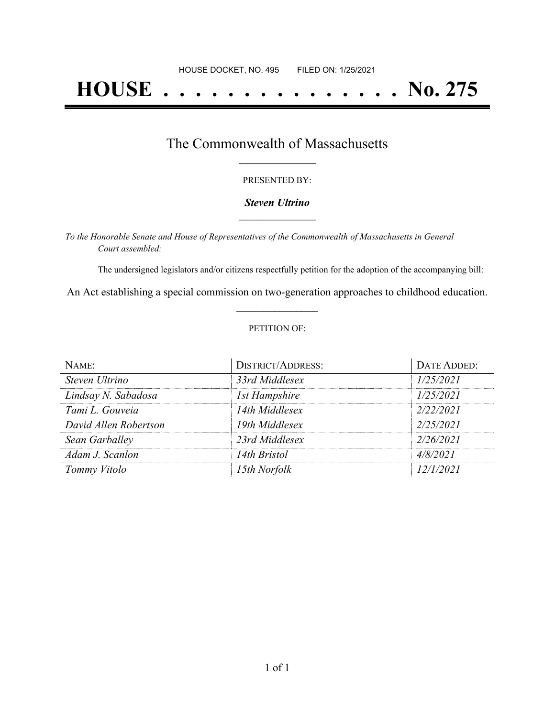# **HOUSE . . . . . . . . . . . . . . . No. 275**

## The Commonwealth of Massachusetts **\_\_\_\_\_\_\_\_\_\_\_\_\_\_\_\_\_**

#### PRESENTED BY:

#### *Steven Ultrino* **\_\_\_\_\_\_\_\_\_\_\_\_\_\_\_\_\_**

*To the Honorable Senate and House of Representatives of the Commonwealth of Massachusetts in General Court assembled:*

The undersigned legislators and/or citizens respectfully petition for the adoption of the accompanying bill:

An Act establishing a special commission on two-generation approaches to childhood education. **\_\_\_\_\_\_\_\_\_\_\_\_\_\_\_**

#### PETITION OF:

| NAME:                 | <b>DISTRICT/ADDRESS:</b> | DATE ADDED: |
|-----------------------|--------------------------|-------------|
| Steven Ultrino        | 33rd Middlesex           | 1/25/2021   |
| Lindsay N. Sabadosa   | <b>1st Hampshire</b>     | 1/25/2021   |
| Tami L. Gouveia       | 14th Middlesex           | 2/22/2021   |
| David Allen Robertson | 19th Middlesex           | 2/25/2021   |
| Sean Garballey        | 23rd Middlesex           | 2/26/2021   |
| Adam J. Scanlon       | 14th Bristol             | 4/8/2021    |
| Tommy Vitolo          | 15th Norfolk             | 12/1/2021   |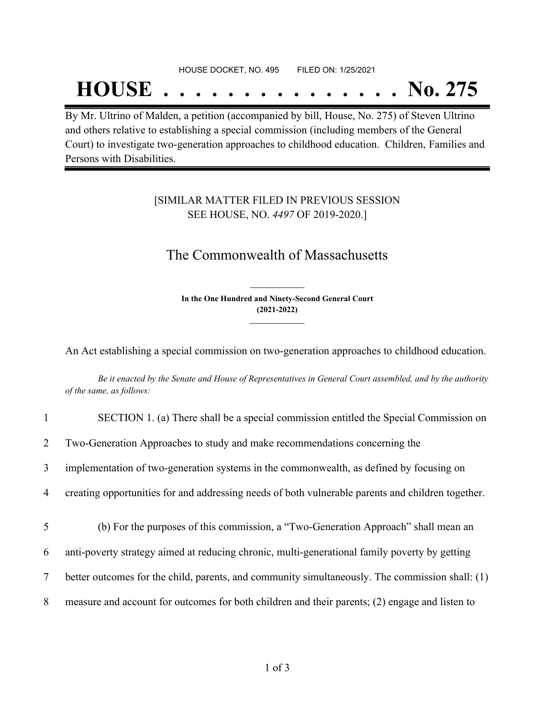#### HOUSE DOCKET, NO. 495 FILED ON: 1/25/2021

## **HOUSE . . . . . . . . . . . . . . . No. 275**

By Mr. Ultrino of Malden, a petition (accompanied by bill, House, No. 275) of Steven Ultrino and others relative to establishing a special commission (including members of the General Court) to investigate two-generation approaches to childhood education. Children, Families and Persons with Disabilities.

### [SIMILAR MATTER FILED IN PREVIOUS SESSION SEE HOUSE, NO. *4497* OF 2019-2020.]

## The Commonwealth of Massachusetts

**In the One Hundred and Ninety-Second General Court (2021-2022) \_\_\_\_\_\_\_\_\_\_\_\_\_\_\_**

**\_\_\_\_\_\_\_\_\_\_\_\_\_\_\_**

An Act establishing a special commission on two-generation approaches to childhood education.

Be it enacted by the Senate and House of Representatives in General Court assembled, and by the authority *of the same, as follows:*

| $\mathbf{1}$   | SECTION 1. (a) There shall be a special commission entitled the Special Commission on             |
|----------------|---------------------------------------------------------------------------------------------------|
| $\overline{2}$ | Two-Generation Approaches to study and make recommendations concerning the                        |
| $\overline{3}$ | implementation of two-generation systems in the commonwealth, as defined by focusing on           |
| 4              | creating opportunities for and addressing needs of both vulnerable parents and children together. |
| 5              | (b) For the purposes of this commission, a "Two-Generation Approach" shall mean an                |
| 6              | anti-poverty strategy aimed at reducing chronic, multi-generational family poverty by getting     |
| 7              | better outcomes for the child, parents, and community simultaneously. The commission shall: (1)   |
| 8              | measure and account for outcomes for both children and their parents; (2) engage and listen to    |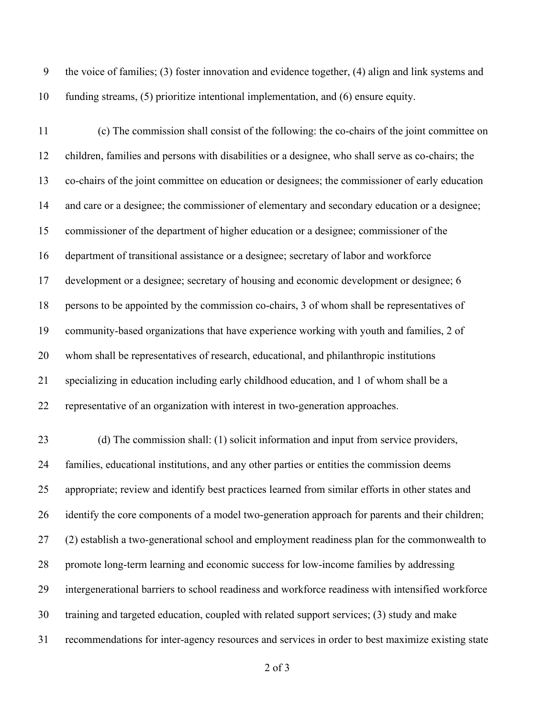the voice of families; (3) foster innovation and evidence together, (4) align and link systems and funding streams, (5) prioritize intentional implementation, and (6) ensure equity.

 (c) The commission shall consist of the following: the co-chairs of the joint committee on children, families and persons with disabilities or a designee, who shall serve as co-chairs; the co-chairs of the joint committee on education or designees; the commissioner of early education and care or a designee; the commissioner of elementary and secondary education or a designee; commissioner of the department of higher education or a designee; commissioner of the department of transitional assistance or a designee; secretary of labor and workforce development or a designee; secretary of housing and economic development or designee; 6 persons to be appointed by the commission co-chairs, 3 of whom shall be representatives of community-based organizations that have experience working with youth and families, 2 of whom shall be representatives of research, educational, and philanthropic institutions specializing in education including early childhood education, and 1 of whom shall be a representative of an organization with interest in two-generation approaches.

 (d) The commission shall: (1) solicit information and input from service providers, families, educational institutions, and any other parties or entities the commission deems appropriate; review and identify best practices learned from similar efforts in other states and 26 identify the core components of a model two-generation approach for parents and their children; (2) establish a two-generational school and employment readiness plan for the commonwealth to promote long-term learning and economic success for low-income families by addressing intergenerational barriers to school readiness and workforce readiness with intensified workforce training and targeted education, coupled with related support services; (3) study and make recommendations for inter-agency resources and services in order to best maximize existing state

of 3